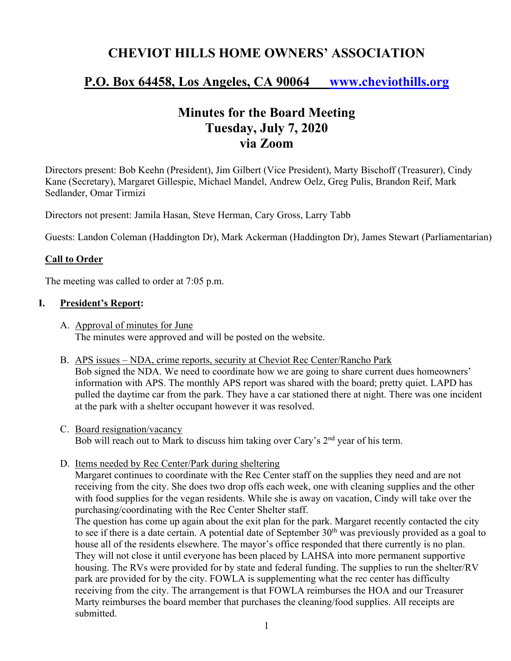# **CHEVIOT HILLS HOME OWNERS' ASSOCIATION**

# **P.O. Box 64458, Los Angeles, CA 90064 www.cheviothills.org**

# **Minutes for the Board Meeting Tuesday, July 7, 2020 via Zoom**

Directors present: Bob Keehn (President), Jim Gilbert (Vice President), Marty Bischoff (Treasurer), Cindy Kane (Secretary), Margaret Gillespie, Michael Mandel, Andrew Oelz, Greg Pulis, Brandon Reif, Mark Sedlander, Omar Tirmizi

Directors not present: Jamila Hasan, Steve Herman, Cary Gross, Larry Tabb

Guests: Landon Coleman (Haddington Dr), Mark Ackerman (Haddington Dr), James Stewart (Parliamentarian)

### **Call to Order**

The meeting was called to order at 7:05 p.m.

#### **I. President's Report:**

- A. Approval of minutes for June The minutes were approved and will be posted on the website.
- B. APS issues NDA, crime reports, security at Cheviot Rec Center/Rancho Park Bob signed the NDA. We need to coordinate how we are going to share current dues homeowners' information with APS. The monthly APS report was shared with the board; pretty quiet. LAPD has pulled the daytime car from the park. They have a car stationed there at night. There was one incident at the park with a shelter occupant however it was resolved.
- C. Board resignation/vacancy Bob will reach out to Mark to discuss him taking over Cary's 2<sup>nd</sup> year of his term.
- D. Items needed by Rec Center/Park during sheltering

Margaret continues to coordinate with the Rec Center staff on the supplies they need and are not receiving from the city. She does two drop offs each week, one with cleaning supplies and the other with food supplies for the vegan residents. While she is away on vacation, Cindy will take over the purchasing/coordinating with the Rec Center Shelter staff.

The question has come up again about the exit plan for the park. Margaret recently contacted the city to see if there is a date certain. A potential date of September  $30<sup>th</sup>$  was previously provided as a goal to house all of the residents elsewhere. The mayor's office responded that there currently is no plan. They will not close it until everyone has been placed by LAHSA into more permanent supportive housing. The RVs were provided for by state and federal funding. The supplies to run the shelter/RV park are provided for by the city. FOWLA is supplementing what the rec center has difficulty receiving from the city. The arrangement is that FOWLA reimburses the HOA and our Treasurer Marty reimburses the board member that purchases the cleaning/food supplies. All receipts are submitted.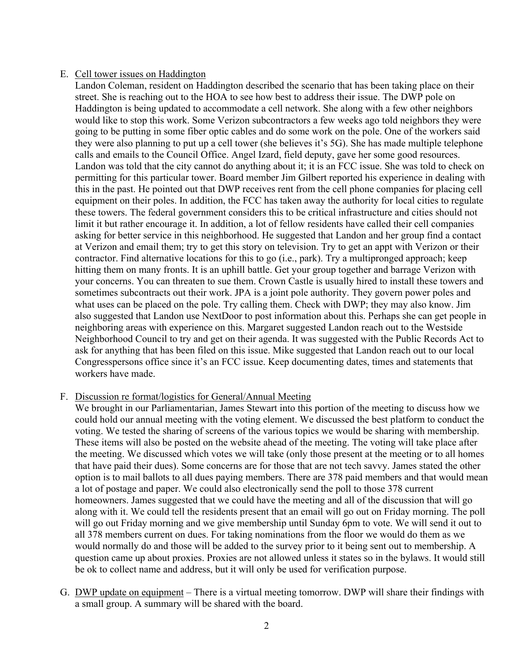### E. Cell tower issues on Haddington

Landon Coleman, resident on Haddington described the scenario that has been taking place on their street. She is reaching out to the HOA to see how best to address their issue. The DWP pole on Haddington is being updated to accommodate a cell network. She along with a few other neighbors would like to stop this work. Some Verizon subcontractors a few weeks ago told neighbors they were going to be putting in some fiber optic cables and do some work on the pole. One of the workers said they were also planning to put up a cell tower (she believes it's 5G). She has made multiple telephone calls and emails to the Council Office. Angel Izard, field deputy, gave her some good resources. Landon was told that the city cannot do anything about it; it is an FCC issue. She was told to check on permitting for this particular tower. Board member Jim Gilbert reported his experience in dealing with this in the past. He pointed out that DWP receives rent from the cell phone companies for placing cell equipment on their poles. In addition, the FCC has taken away the authority for local cities to regulate these towers. The federal government considers this to be critical infrastructure and cities should not limit it but rather encourage it. In addition, a lot of fellow residents have called their cell companies asking for better service in this neighborhood. He suggested that Landon and her group find a contact at Verizon and email them; try to get this story on television. Try to get an appt with Verizon or their contractor. Find alternative locations for this to go (i.e., park). Try a multipronged approach; keep hitting them on many fronts. It is an uphill battle. Get your group together and barrage Verizon with your concerns. You can threaten to sue them. Crown Castle is usually hired to install these towers and sometimes subcontracts out their work. JPA is a joint pole authority. They govern power poles and what uses can be placed on the pole. Try calling them. Check with DWP; they may also know. Jim also suggested that Landon use NextDoor to post information about this. Perhaps she can get people in neighboring areas with experience on this. Margaret suggested Landon reach out to the Westside Neighborhood Council to try and get on their agenda. It was suggested with the Public Records Act to ask for anything that has been filed on this issue. Mike suggested that Landon reach out to our local Congresspersons office since it's an FCC issue. Keep documenting dates, times and statements that workers have made.

#### F. Discussion re format/logistics for General/Annual Meeting

We brought in our Parliamentarian, James Stewart into this portion of the meeting to discuss how we could hold our annual meeting with the voting element. We discussed the best platform to conduct the voting. We tested the sharing of screens of the various topics we would be sharing with membership. These items will also be posted on the website ahead of the meeting. The voting will take place after the meeting. We discussed which votes we will take (only those present at the meeting or to all homes that have paid their dues). Some concerns are for those that are not tech savvy. James stated the other option is to mail ballots to all dues paying members. There are 378 paid members and that would mean a lot of postage and paper. We could also electronically send the poll to those 378 current homeowners. James suggested that we could have the meeting and all of the discussion that will go along with it. We could tell the residents present that an email will go out on Friday morning. The poll will go out Friday morning and we give membership until Sunday 6pm to vote. We will send it out to all 378 members current on dues. For taking nominations from the floor we would do them as we would normally do and those will be added to the survey prior to it being sent out to membership. A question came up about proxies. Proxies are not allowed unless it states so in the bylaws. It would still be ok to collect name and address, but it will only be used for verification purpose.

G. DWP update on equipment – There is a virtual meeting tomorrow. DWP will share their findings with a small group. A summary will be shared with the board.